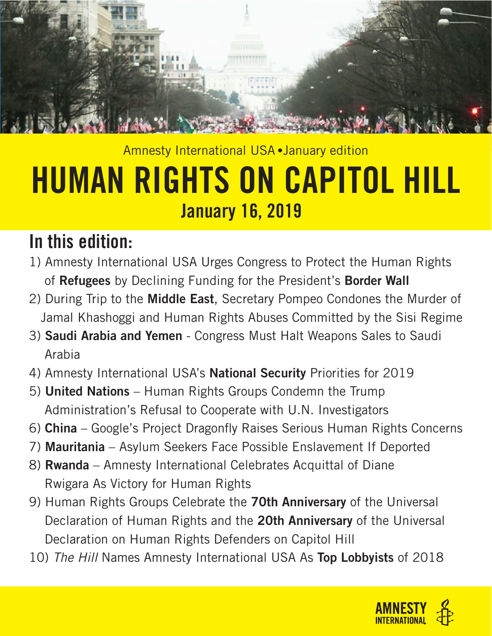

# Amnesty International USA • January edition HUMAN RIGHTS ON CAPITOL HILL January 16, 2019

# In this edition:

- 1) Amnesty International USA Urges Congress to Protect the Human Rights of Refugees by Declining Funding for the President's Border Wall
- 2) During Trip to the **Middle East**, Secretary Pompeo Condones the Murder of Jamal Khashoggi and Human Rights Abuses Committed by the Sisi Regime
- 3) Saudi Arabia and Yemen Congress Must Halt Weapons Sales to Saudi Arabia
- 4) Amnesty International USA's National Security Priorities for 2019
- 5) United Nations Human Rights Groups Condemn the Trump Administration's Refusal to Cooperate with U.N. Investigators
- 6) China Google's Project Dragonfly Raises Serious Human Rights Concerns
- 7) Mauritania Asylum Seekers Face Possible Enslavement If Deported
- 8) Rwanda Amnesty International Celebrates Acquittal of Diane Rwigara As Victory for Human Rights
- 9) Human Rights Groups Celebrate the 70th Anniversary of the Universal Declaration of Human Rights and the 20th Anniversary of the Universal Declaration on Human Rights Defenders on Capitol Hill
- 10) *The Hill* Names Amnesty International USA As Top Lobbyists of 2018

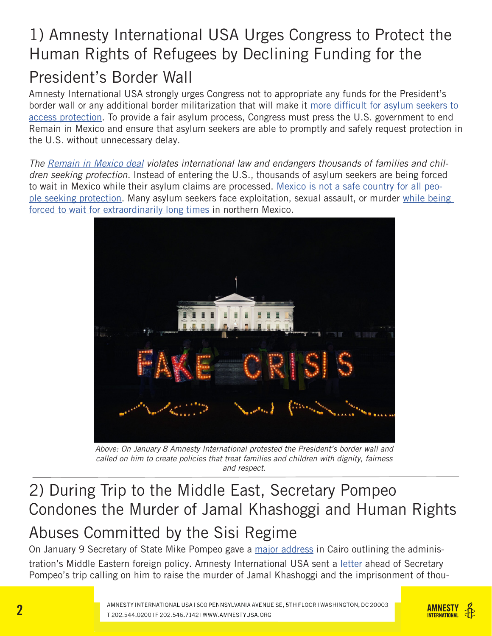# 1) Amnesty International USA Urges Congress to Protect the Human Rights of Refugees by Declining Funding for the President's Border Wall

Amnesty International USA strongly urges Congress not to appropriate any funds for the President's border wall or any additional border militarization that will make it more difficult for asylum seekers to access protection. To provide a fair asylum process, Congress must press the U.S. government to end Remain in Mexico and ensure that asylum seekers are able to promptly and safely request protection in the U.S. without unnecessary delay.

*The Remain in Mexico deal violates international law and endangers thousands of families and children seeking protection.* Instead of entering the U.S., thousands of asylum seekers are being forced to wait in Mexico while their asylum claims are processed. Mexico is not a safe country for all people seeking protection. Many asylum seekers face exploitation, sexual assault, or murder while being forced to wait for extraordinarily long times in northern Mexico.



*Above: On January 8 Amnesty International protested the President's border wall and called on him to create policies that treat families and children with dignity, fairness and respect.* 

#### 2) During Trip to the Middle East, Secretary Pompeo Condones the Murder of Jamal Khashoggi and Human Rights Abuses Committed by the Sisi Regime

On January 9 Secretary of State Mike Pompeo gave a major address in Cairo outlining the administration's Middle Eastern foreign policy. Amnesty International USA sent a letter ahead of Secretary Pompeo's trip calling on him to raise the murder of Jamal Khashoggi and the imprisonment of thou-

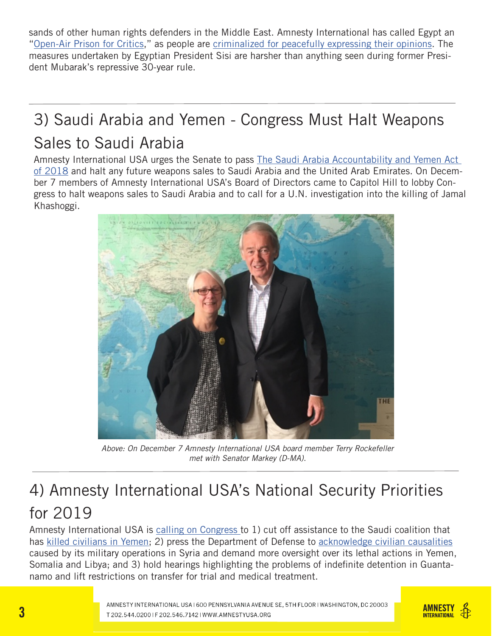sands of other human rights defenders in the Middle East. Amnesty International has called Egypt an "Open-Air Prison for Critics," as people are criminalized for peacefully expressing their opinions. The measures undertaken by Egyptian President Sisi are harsher than anything seen during former President Mubarak's repressive 30-year rule.

### 3) Saudi Arabia and Yemen - Congress Must Halt Weapons Sales to Saudi Arabia

Amnesty International USA urges the Senate to pass The Saudi Arabia Accountability and Yemen Act of 2018 and halt any future weapons sales to Saudi Arabia and the United Arab Emirates. On December 7 members of Amnesty International USA's Board of Directors came to Capitol Hill to lobby Congress to halt weapons sales to Saudi Arabia and to call for a U.N. investigation into the killing of Jamal Khashoggi.



*Above: On December 7 Amnesty International USA board member Terry Rockefeller met with Senator Markey (D-MA).*

#### 4) Amnesty International USA's National Security Priorities for 2019

Amnesty International USA is calling on Congress to 1) cut off assistance to the Saudi coalition that has killed civilians in Yemen; 2) press the Department of Defense to acknowledge civilian causalities caused by its military operations in Syria and demand more oversight over its lethal actions in Yemen, Somalia and Libya; and 3) hold hearings highlighting the problems of indefinite detention in Guantanamo and lift restrictions on transfer for trial and medical treatment.

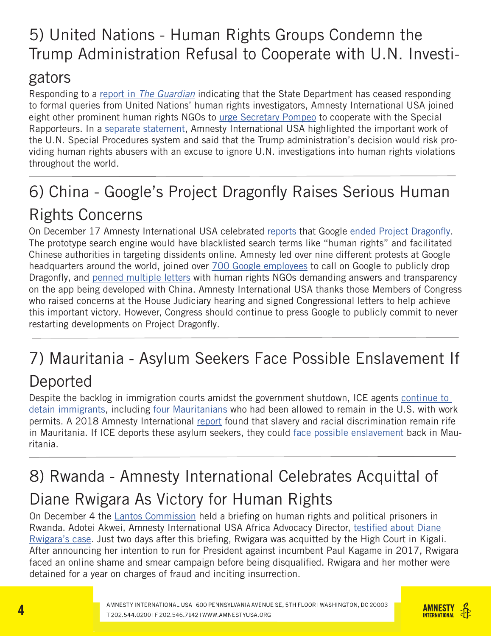# 5) United Nations - Human Rights Groups Condemn the Trump Administration Refusal to Cooperate with U.N. Investi-

#### gators

Responding to a report in *The Guardian* indicating that the State Department has ceased responding to formal queries from United Nations' human rights investigators, Amnesty International USA joined eight other prominent human rights NGOs to urge Secretary Pompeo to cooperate with the Special Rapporteurs. In a separate statement, Amnesty International USA highlighted the important work of the U.N. Special Procedures system and said that the Trump administration's decision would risk providing human rights abusers with an excuse to ignore U.N. investigations into human rights violations throughout the world.

# 6) China - Google's Project Dragonfly Raises Serious Human Rights Concerns

On December 17 Amnesty International USA celebrated reports that Google ended Project Dragonfly. The prototype search engine would have blacklisted search terms like "human rights" and facilitated Chinese authorities in targeting dissidents online. Amnesty led over nine different protests at Google headquarters around the world, joined over 700 Google employees to call on Google to publicly drop Dragonfly, and penned multiple letters with human rights NGOs demanding answers and transparency on the app being developed with China. Amnesty International USA thanks those Members of Congress who raised concerns at the House Judiciary hearing and signed Congressional letters to help achieve this important victory. However, Congress should continue to press Google to publicly commit to never restarting developments on Project Dragonfly.

# 7) Mauritania - Asylum Seekers Face Possible Enslavement If

#### Deported

Despite the backlog in immigration courts amidst the government shutdown, ICE agents continue to detain immigrants, including four Mauritanians who had been allowed to remain in the U.S. with work permits. A 2018 Amnesty International report found that slavery and racial discrimination remain rife in Mauritania. If ICE deports these asylum seekers, they could face possible enslavement back in Mauritania.

# 8) Rwanda - Amnesty International Celebrates Acquittal of Diane Rwigara As Victory for Human Rights

On December 4 the **Lantos Commission held a briefing on human rights and political prisoners in** Rwanda. Adotei Akwei, Amnesty International USA Africa Advocacy Director, testified about Diane Rwigara's case. Just two days after this briefing, Rwigara was acquitted by the High Court in Kigali. After announcing her intention to run for President against incumbent Paul Kagame in 2017, Rwigara faced an online shame and smear campaign before being disqualified. Rwigara and her mother were detained for a year on charges of fraud and inciting insurrection.

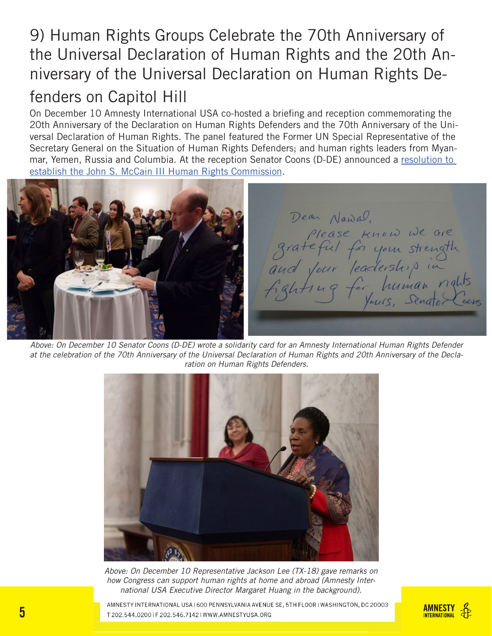#### 9) Human Rights Groups Celebrate the 70th Anniversary of the Universal Declaration of Human Rights and the 20th Anniversary of the Universal Declaration on Human Rights Defenders on Capitol Hill

On December 10 Amnesty International USA co-hosted a briefing and reception commemorating the 20th Anniversary of the Declaration on Human Rights Defenders and the 70th Anniversary of the Universal Declaration of Human Rights. The panel featured the Former UN Special Representative of the Secretary General on the Situation of Human Rights Defenders; and human rights leaders from Myanmar, Yemen, Russia and Columbia. At the reception Senator Coons (D-DE) announced a resolution to establish the John S. McCain III Human Rights Commission.

Dear Nawal. please know we are<br>grateful for your strength<br>and your leadership in

*Above: On December 10 Senator Coons (D-DE) wrote a solidarity card for an Amnesty International Human Rights Defender at the celebration of the 70th Anniversary of the Universal Declaration of Human Rights and 20th Anniversary of the Declaration on Human Rights Defenders.*



*Above: On December 10 Representative Jackson Lee (TX-18) gave remarks on how Congress can support human rights at home and abroad (Amnesty International USA Executive Director Margaret Huang in the background).*

AMNESTY INTERNATIONAL USA I 600 PENNSYLVANIA AVENUE SE, 5TH FLOOR I WASHINGTON, DC 20003 T 202.544.02001F 202.546.71421WWW.AMNESTYUSA.ORG